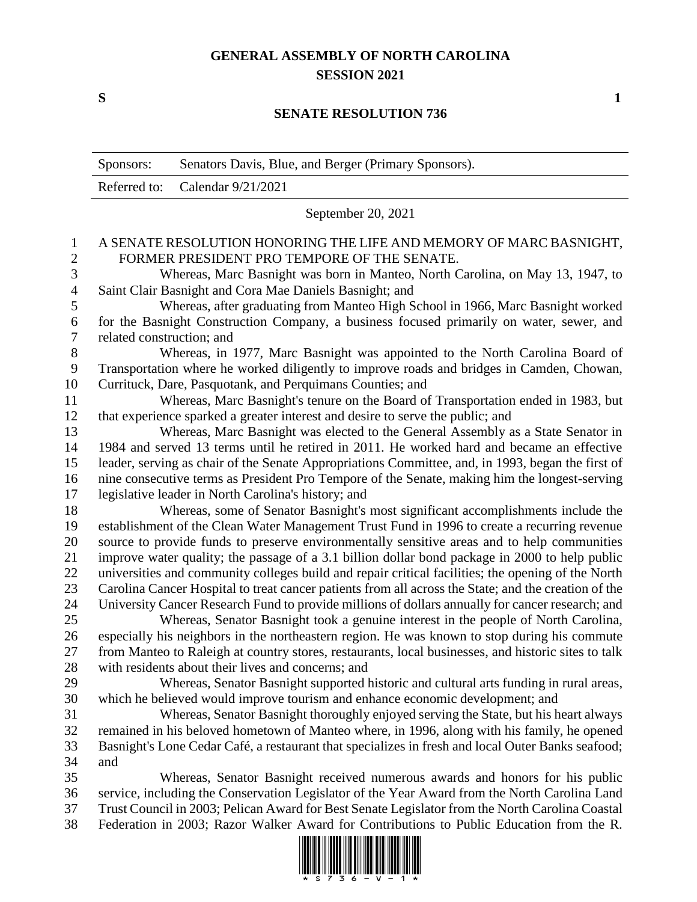## **GENERAL ASSEMBLY OF NORTH CAROLINA SESSION 2021**

**S 1**

## **SENATE RESOLUTION 736**

|                     | Sponsors:                                                                                          | Senators Davis, Blue, and Berger (Primary Sponsors).                                                              |  |
|---------------------|----------------------------------------------------------------------------------------------------|-------------------------------------------------------------------------------------------------------------------|--|
|                     | Referred to:                                                                                       | Calendar 9/21/2021                                                                                                |  |
|                     | September 20, 2021                                                                                 |                                                                                                                   |  |
| 1<br>$\overline{2}$ |                                                                                                    | A SENATE RESOLUTION HONORING THE LIFE AND MEMORY OF MARC BASNIGHT,<br>FORMER PRESIDENT PRO TEMPORE OF THE SENATE. |  |
| $\mathfrak{Z}$      | Whereas, Marc Basnight was born in Manteo, North Carolina, on May 13, 1947, to                     |                                                                                                                   |  |
| $\overline{4}$      | Saint Clair Basnight and Cora Mae Daniels Basnight; and                                            |                                                                                                                   |  |
| 5                   | Whereas, after graduating from Manteo High School in 1966, Marc Basnight worked                    |                                                                                                                   |  |
| 6                   | for the Basnight Construction Company, a business focused primarily on water, sewer, and           |                                                                                                                   |  |
| $\tau$              | related construction; and                                                                          |                                                                                                                   |  |
| $8\,$               | Whereas, in 1977, Marc Basnight was appointed to the North Carolina Board of                       |                                                                                                                   |  |
| 9                   | Transportation where he worked diligently to improve roads and bridges in Camden, Chowan,          |                                                                                                                   |  |
| 10                  | Currituck, Dare, Pasquotank, and Perquimans Counties; and                                          |                                                                                                                   |  |
| 11                  | Whereas, Marc Basnight's tenure on the Board of Transportation ended in 1983, but                  |                                                                                                                   |  |
| 12                  | that experience sparked a greater interest and desire to serve the public; and                     |                                                                                                                   |  |
| 13                  | Whereas, Marc Basnight was elected to the General Assembly as a State Senator in                   |                                                                                                                   |  |
| 14                  | 1984 and served 13 terms until he retired in 2011. He worked hard and became an effective          |                                                                                                                   |  |
| 15                  | leader, serving as chair of the Senate Appropriations Committee, and, in 1993, began the first of  |                                                                                                                   |  |
| 16                  | nine consecutive terms as President Pro Tempore of the Senate, making him the longest-serving      |                                                                                                                   |  |
| 17                  | legislative leader in North Carolina's history; and                                                |                                                                                                                   |  |
| 18                  | Whereas, some of Senator Basnight's most significant accomplishments include the                   |                                                                                                                   |  |
| 19                  |                                                                                                    | establishment of the Clean Water Management Trust Fund in 1996 to create a recurring revenue                      |  |
| 20                  | source to provide funds to preserve environmentally sensitive areas and to help communities        |                                                                                                                   |  |
| 21                  | improve water quality; the passage of a 3.1 billion dollar bond package in 2000 to help public     |                                                                                                                   |  |
| 22                  | universities and community colleges build and repair critical facilities; the opening of the North |                                                                                                                   |  |
| 23                  |                                                                                                    | Carolina Cancer Hospital to treat cancer patients from all across the State; and the creation of the              |  |
| 24                  |                                                                                                    | University Cancer Research Fund to provide millions of dollars annually for cancer research; and                  |  |
| 25                  |                                                                                                    | Whereas, Senator Basnight took a genuine interest in the people of North Carolina,                                |  |
| 26                  |                                                                                                    | especially his neighbors in the northeastern region. He was known to stop during his commute                      |  |
| 27                  |                                                                                                    | from Manteo to Raleigh at country stores, restaurants, local businesses, and historic sites to talk               |  |
| 28                  |                                                                                                    | with residents about their lives and concerns; and                                                                |  |
| 29                  |                                                                                                    | Whereas, Senator Basnight supported historic and cultural arts funding in rural areas,                            |  |
| 30                  |                                                                                                    | which he believed would improve tourism and enhance economic development; and                                     |  |
| 31                  |                                                                                                    | Whereas, Senator Basnight thoroughly enjoyed serving the State, but his heart always                              |  |
| 32                  | remained in his beloved hometown of Manteo where, in 1996, along with his family, he opened        |                                                                                                                   |  |
| 33                  | Basnight's Lone Cedar Café, a restaurant that specializes in fresh and local Outer Banks seafood;  |                                                                                                                   |  |
| 34                  | and                                                                                                |                                                                                                                   |  |
| 35                  |                                                                                                    | Whereas, Senator Basnight received numerous awards and honors for his public                                      |  |
| 36                  |                                                                                                    | service, including the Conservation Legislator of the Year Award from the North Carolina Land                     |  |
| 37                  | Trust Council in 2003; Pelican Award for Best Senate Legislator from the North Carolina Coastal    |                                                                                                                   |  |
| 38                  |                                                                                                    | Federation in 2003; Razor Walker Award for Contributions to Public Education from the R.                          |  |